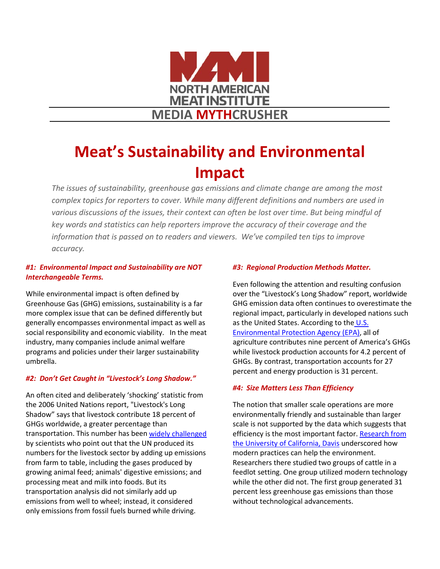

# **Meat's Sustainability and Environmental Impact**

*The issues of sustainability, greenhouse gas emissions and climate change are among the most complex topics for reporters to cover. While many different definitions and numbers are used in various discussions of the issues, their context can often be lost over time. But being mindful of key words and statistics can help reporters improve the accuracy of their coverage and the information that is passed on to readers and viewers. We've compiled ten tips to improve accuracy.*

## *#1: Environmental Impact and Sustainability are NOT Interchangeable Terms.*

While environmental impact is often defined by Greenhouse Gas (GHG) emissions, sustainability is a far more complex issue that can be defined differently but generally encompasses environmental impact as well as social responsibility and economic viability. In the meat industry, many companies include animal welfare programs and policies under their larger sustainability umbrella.

## *#2: Don't Get Caught in "Livestock's Long Shadow."*

An often cited and deliberately 'shocking' statistic from the 2006 United Nations report, "Livestock's Long Shadow" says that livestock contribute 18 percent of GHGs worldwide, a greater percentage than transportation. This number has bee[n widely challenged](http://www.sciencedirect.com/science/article/pii/S0065211309030016)  by scientists who point out that the UN produced its numbers for the livestock sector by adding up emissions from farm to table, including the gases produced by growing animal feed; animals' digestive emissions; and processing meat and milk into foods. But its transportation analysis did not similarly add up emissions from well to wheel; instead, it considered only emissions from fossil fuels burned while driving.

### *#3: Regional Production Methods Matter.*

Even following the attention and resulting confusion over the "Livestock's Long Shadow" report, worldwide GHG emission data often continues to overestimate the regional impact, particularly in developed nations such as the United States. According to the U.S. [Environmental Protection Agency](http://www3.epa.gov/climatechange/Downloads/ghgemissions/US-GHG-Inventory-2015-Main-Text.pdf) (EPA), all of agriculture contributes nine percent of America's GHGs while livestock production accounts for 4.2 percent of GHGs. By contrast, transportation accounts for 27 percent and energy production is 31 percent.

#### *#4: Size Matters Less Than Efficiency*

The notion that smaller scale operations are more environmentally friendly and sustainable than larger scale is not supported by the data which suggests that efficiency is the most important factor. Research from [the University of California, Davis](http://www.ncbi.nlm.nih.gov/pubmed/21398565) underscored how modern practices can help the environment. Researchers there studied two groups of cattle in a feedlot setting. One group utilized modern technology while the other did not. The first group generated 31 percent less greenhouse gas emissions than those without technological advancements.